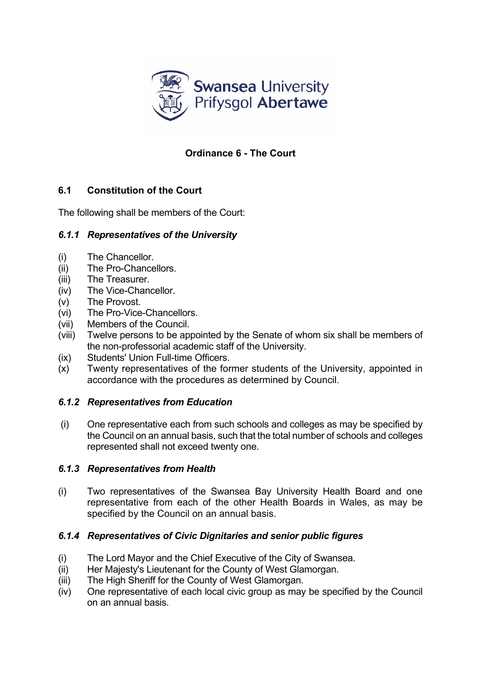

# **Ordinance 6 - The Court**

# **6.1 Constitution of the Court**

The following shall be members of the Court:

# *6.1.1 Representatives of the University*

- (i) The Chancellor.
- (ii) The Pro-Chancellors.
- (iii) The Treasurer.
- (iv) The Vice-Chancellor.
- (v) The Provost.
- (vi) The Pro-Vice-Chancellors.
- (vii) Members of the Council.
- (viii) Twelve persons to be appointed by the Senate of whom six shall be members of the non-professorial academic staff of the University.
- (ix) Students' Union Full-time Officers.
- (x) Twenty representatives of the former students of the University, appointed in accordance with the procedures as determined by Council.

### *6.1.2 Representatives from Education*

(i) One representative each from such schools and colleges as may be specified by the Council on an annual basis, such that the total number of schools and colleges represented shall not exceed twenty one.

### *6.1.3 Representatives from Health*

(i) Two representatives of the Swansea Bay University Health Board and one representative from each of the other Health Boards in Wales, as may be specified by the Council on an annual basis.

# *6.1.4 Representatives of Civic Dignitaries and senior public figures*

- (i) The Lord Mayor and the Chief Executive of the City of Swansea.
- (ii) Her Majesty's Lieutenant for the County of West Glamorgan.
- (iii) The High Sheriff for the County of West Glamorgan.
- (iv) One representative of each local civic group as may be specified by the Council on an annual basis.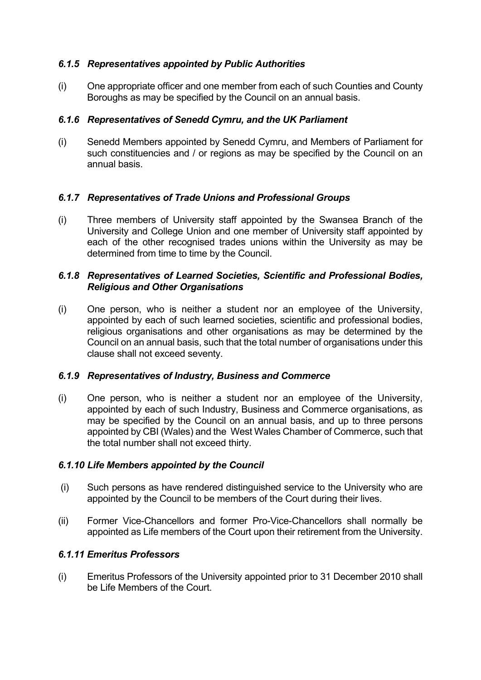## *6.1.5 Representatives appointed by Public Authorities*

(i) One appropriate officer and one member from each of such Counties and County Boroughs as may be specified by the Council on an annual basis.

### *6.1.6 Representatives of Senedd Cymru, and the UK Parliament*

(i) Senedd Members appointed by Senedd Cymru, and Members of Parliament for such constituencies and / or regions as may be specified by the Council on an annual basis.

### *6.1.7 Representatives of Trade Unions and Professional Groups*

(i) Three members of University staff appointed by the Swansea Branch of the University and College Union and one member of University staff appointed by each of the other recognised trades unions within the University as may be determined from time to time by the Council.

### *6.1.8 Representatives of Learned Societies, Scientific and Professional Bodies, Religious and Other Organisations*

(i) One person, who is neither a student nor an employee of the University, appointed by each of such learned societies, scientific and professional bodies, religious organisations and other organisations as may be determined by the Council on an annual basis, such that the total number of organisations under this clause shall not exceed seventy.

### *6.1.9 Representatives of Industry, Business and Commerce*

(i) One person, who is neither a student nor an employee of the University, appointed by each of such Industry, Business and Commerce organisations, as may be specified by the Council on an annual basis, and up to three persons appointed by CBI (Wales) and the West Wales Chamber of Commerce, such that the total number shall not exceed thirty.

# *6.1.10 Life Members appointed by the Council*

- (i) Such persons as have rendered distinguished service to the University who are appointed by the Council to be members of the Court during their lives.
- (ii) Former Vice-Chancellors and former Pro-Vice-Chancellors shall normally be appointed as Life members of the Court upon their retirement from the University.

# *6.1.11 Emeritus Professors*

(i) Emeritus Professors of the University appointed prior to 31 December 2010 shall be Life Members of the Court.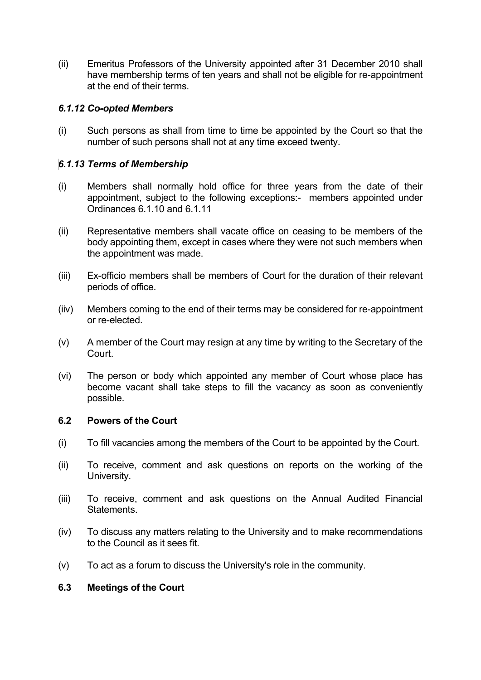(ii) Emeritus Professors of the University appointed after 31 December 2010 shall have membership terms of ten years and shall not be eligible for re-appointment at the end of their terms.

### *6.1.12 Co-opted Members*

(i) Such persons as shall from time to time be appointed by the Court so that the number of such persons shall not at any time exceed twenty.

### *6.1.13 Terms of Membership*

- (i) Members shall normally hold office for three years from the date of their appointment, subject to the following exceptions:- members appointed under Ordinances 6.1.10 and 6.1.11
- (ii) Representative members shall vacate office on ceasing to be members of the body appointing them, except in cases where they were not such members when the appointment was made.
- (iii) Ex-officio members shall be members of Court for the duration of their relevant periods of office.
- (iiv) Members coming to the end of their terms may be considered for re-appointment or re-elected.
- (v) A member of the Court may resign at any time by writing to the Secretary of the Court.
- (vi) The person or body which appointed any member of Court whose place has become vacant shall take steps to fill the vacancy as soon as conveniently possible.

### **6.2 Powers of the Court**

- (i) To fill vacancies among the members of the Court to be appointed by the Court.
- (ii) To receive, comment and ask questions on reports on the working of the University.
- (iii) To receive, comment and ask questions on the Annual Audited Financial **Statements**
- (iv) To discuss any matters relating to the University and to make recommendations to the Council as it sees fit.
- (v) To act as a forum to discuss the University's role in the community.

### **6.3 Meetings of the Court**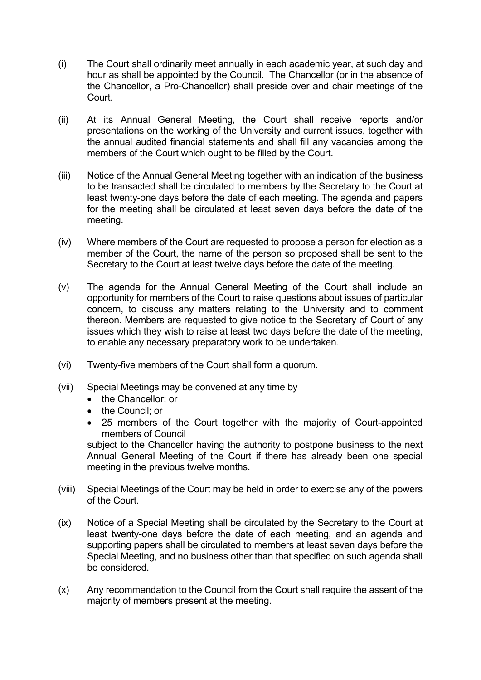- (i) The Court shall ordinarily meet annually in each academic year, at such day and hour as shall be appointed by the Council. The Chancellor (or in the absence of the Chancellor, a Pro-Chancellor) shall preside over and chair meetings of the Court.
- (ii) At its Annual General Meeting, the Court shall receive reports and/or presentations on the working of the University and current issues, together with the annual audited financial statements and shall fill any vacancies among the members of the Court which ought to be filled by the Court.
- (iii) Notice of the Annual General Meeting together with an indication of the business to be transacted shall be circulated to members by the Secretary to the Court at least twenty-one days before the date of each meeting. The agenda and papers for the meeting shall be circulated at least seven days before the date of the meeting.
- (iv) Where members of the Court are requested to propose a person for election as a member of the Court, the name of the person so proposed shall be sent to the Secretary to the Court at least twelve days before the date of the meeting.
- (v) The agenda for the Annual General Meeting of the Court shall include an opportunity for members of the Court to raise questions about issues of particular concern, to discuss any matters relating to the University and to comment thereon. Members are requested to give notice to the Secretary of Court of any issues which they wish to raise at least two days before the date of the meeting, to enable any necessary preparatory work to be undertaken.
- (vi) Twenty-five members of the Court shall form a quorum.
- (vii) Special Meetings may be convened at any time by
	- the Chancellor: or
	- the Council; or
	- 25 members of the Court together with the majority of Court-appointed members of Council

subject to the Chancellor having the authority to postpone business to the next Annual General Meeting of the Court if there has already been one special meeting in the previous twelve months.

- (viii) Special Meetings of the Court may be held in order to exercise any of the powers of the Court.
- (ix) Notice of a Special Meeting shall be circulated by the Secretary to the Court at least twenty-one days before the date of each meeting, and an agenda and supporting papers shall be circulated to members at least seven days before the Special Meeting, and no business other than that specified on such agenda shall be considered.
- (x) Any recommendation to the Council from the Court shall require the assent of the majority of members present at the meeting.